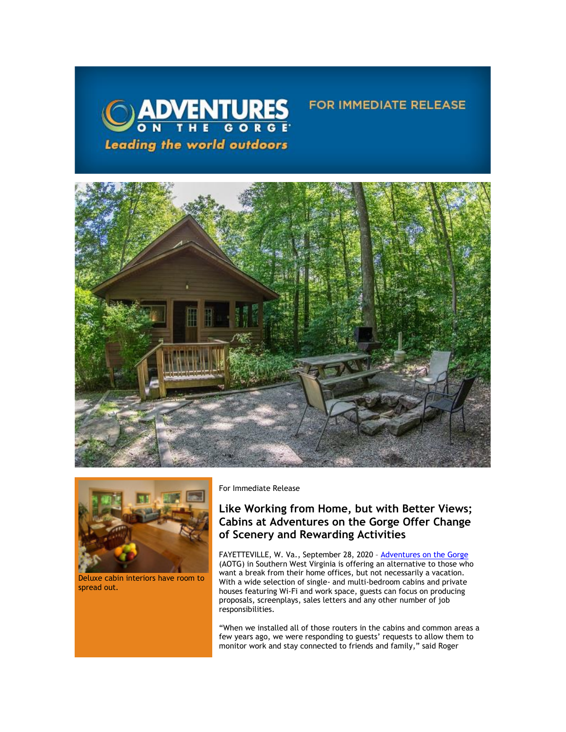



Deluxe cabin interiors have room to spread out.

For Immediate Release

# **Like Working from Home, but with Better Views; Cabins at Adventures on the Gorge Offer Change of Scenery and Rewarding Activities**

**FOR IMMEDIATE RELEASE** 

FAYETTEVILLE, W. Va., September 28, 2020 - <u>[Adventures on the Gorge](https://click.icptrack.com/icp/relay.php?r=13370550&msgid=462530&act=5AOA&c=1378153&destination=http%3A%2F%2Fwww.adventuresonthegorge.com%2F&cf=13608&v=5a6d29c5bd89500c6946838c97b8849561ebbd48dbb2fdae9fe0068cb3f8e60e)</u> (AOTG) in Southern West Virginia is offering an alternative to those who want a break from their home offices, but not necessarily a vacation. With a wide selection of single- and multi-bedroom cabins and private houses featuring Wi-Fi and work space, guests can focus on producing proposals, screenplays, sales letters and any other number of job responsibilities.

"When we installed all of those routers in the cabins and common areas a few years ago, we were responding to guests' requests to allow them to monitor work and stay connected to friends and family," said Roger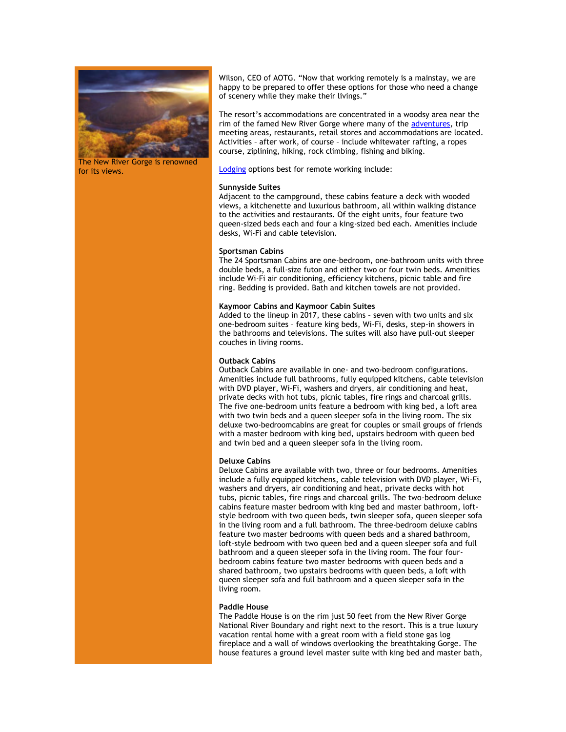

The New River Gorge is renowned for its views.

Wilson, CEO of AOTG. "Now that working remotely is a mainstay, we are happy to be prepared to offer these options for those who need a change of scenery while they make their livings."

The resort's accommodations are concentrated in a woodsy area near the rim of the famed New River Gorge where many of the [adventures,](https://click.icptrack.com/icp/relay.php?r=13370550&msgid=462530&act=5AOA&c=1378153&destination=https%3A%2F%2Fadventuresonthegorge.com%2Fadventures%2F&cf=13608&v=5a8339ee7e159775c9c45019c75d78606952779c163f8d789770599396d733d0) trip meeting areas, restaurants, retail stores and accommodations are located. Activities – after work, of course – include whitewater rafting, a ropes course, ziplining, hiking, rock climbing, fishing and biking.

[Lodging](https://click.icptrack.com/icp/relay.php?r=13370550&msgid=462530&act=5AOA&c=1378153&destination=https%3A%2F%2Fadventuresonthegorge.com%2Flodging%2F&cf=13608&v=a0a1ec07ee637c78242d3333295573a8e337130c936224b8e1d32f73fd9e88eb) options best for remote working include:

### **Sunnyside Suites**

Adjacent to the campground, these cabins feature a deck with wooded views, a kitchenette and luxurious bathroom, all within walking distance to the activities and restaurants. Of the eight units, four feature two queen-sized beds each and four a king-sized bed each. Amenities include desks, Wi-Fi and cable television.

### **Sportsman Cabins**

The 24 Sportsman Cabins are one-bedroom, one-bathroom units with three double beds, a full-size futon and either two or four twin beds. Amenities include Wi-Fi air conditioning, efficiency kitchens, picnic table and fire ring. Bedding is provided. Bath and kitchen towels are not provided.

### **Kaymoor Cabins and Kaymoor Cabin Suites**

Added to the lineup in 2017, these cabins – seven with two units and six one-bedroom suites – feature king beds, Wi-Fi, desks, step-in showers in the bathrooms and televisions. The suites will also have pull-out sleeper couches in living rooms.

#### **Outback Cabins**

Outback Cabins are available in one- and two-bedroom configurations. Amenities include full bathrooms, fully equipped kitchens, cable television with DVD player, Wi-Fi, washers and dryers, air conditioning and heat, private decks with hot tubs, picnic tables, fire rings and charcoal grills. The five one-bedroom units feature a bedroom with king bed, a loft area with two twin beds and a queen sleeper sofa in the living room. The six deluxe two-bedroomcabins are great for couples or small groups of friends with a master bedroom with king bed, upstairs bedroom with queen bed and twin bed and a queen sleeper sofa in the living room.

### **Deluxe Cabins**

Deluxe Cabins are available with two, three or four bedrooms. Amenities include a fully equipped kitchens, cable television with DVD player, Wi-Fi, washers and dryers, air conditioning and heat, private decks with hot tubs, picnic tables, fire rings and charcoal grills. The two-bedroom deluxe cabins feature master bedroom with king bed and master bathroom, loftstyle bedroom with two queen beds, twin sleeper sofa, queen sleeper sofa in the living room and a full bathroom. The three-bedroom deluxe cabins feature two master bedrooms with queen beds and a shared bathroom, loft-style bedroom with two queen bed and a queen sleeper sofa and full bathroom and a queen sleeper sofa in the living room. The four fourbedroom cabins feature two master bedrooms with queen beds and a shared bathroom, two upstairs bedrooms with queen beds, a loft with queen sleeper sofa and full bathroom and a queen sleeper sofa in the living room.

#### **Paddle House**

The Paddle House is on the rim just 50 feet from the New River Gorge National River Boundary and right next to the resort. This is a true luxury vacation rental home with a great room with a field stone gas log fireplace and a wall of windows overlooking the breathtaking Gorge. The house features a ground level master suite with king bed and master bath,